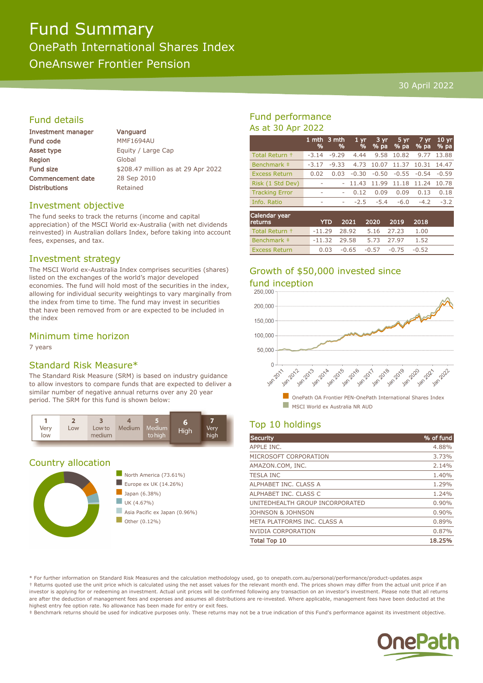# Fund Summary OnePath International Shares Index OneAnswer Frontier Pension

#### 30 April 2022

# Fund details

| Investment manager       | Vanguard                           |
|--------------------------|------------------------------------|
| Fund code                | <b>MMF1694AU</b>                   |
| Asset type               | Equity / Large Cap                 |
| Region                   | Global                             |
| <b>Fund size</b>         | \$208.47 million as at 29 Apr 2022 |
| <b>Commencement date</b> | 28 Sep 2010                        |
| <b>Distributions</b>     | Retained                           |
|                          |                                    |

## Investment objective

The fund seeks to track the returns (income and capital appreciation) of the MSCI World ex-Australia (with net dividends reinvested) in Australian dollars Index, before taking into account fees, expenses, and tax.

## Investment strategy

The MSCI World ex-Australia Index comprises securities (shares) listed on the exchanges of the world's major developed economies. The fund will hold most of the securities in the index, allowing for individual security weightings to vary marginally from the index from time to time. The fund may invest in securities that have been removed from or are expected to be included in the index

# Minimum time horizon

7 years

# Standard Risk Measure\*

The Standard Risk Measure (SRM) is based on industry guidance to allow investors to compare funds that are expected to deliver a similar number of negative annual returns over any 20 year period. The SRM for this fund is shown below:



## Country allocation



# Fund performance As at 30 Apr 2022

|                       | %                        | 1 mth 3 mth<br>% | 1 <sub>yr</sub><br>$\frac{9}{6}$ | 3 yr<br>$%$ pa | 5yr<br>% pa | $7 \overline{\text{yr}}$<br>% pa | 10 <sub>yr</sub><br>% pa |
|-----------------------|--------------------------|------------------|----------------------------------|----------------|-------------|----------------------------------|--------------------------|
| Total Return +        | $-3.14$                  | $-9.29$          | 4.44                             | 9.58           | 10.82       | 9.77                             | 13.88                    |
| Benchmark ‡           | $-3.17$                  | $-9.33$          | 4.73                             | 10.07          | 11.37       | 10.31                            | 14.47                    |
| <b>Excess Return</b>  | 0.02                     | 0.03             | $-0.30$                          | $-0.50$        |             | $-0.55 - 0.54$                   | $-0.59$                  |
| Risk (1 Std Dev)      | $\overline{\phantom{a}}$ |                  | 11.43                            | 11.99          | 11.18       | 11.24                            | 10.78                    |
| <b>Tracking Error</b> | ۰                        |                  | 0.12                             | 0.09           | 0.09        | 0.13                             | 0.18                     |
| Info. Ratio           | ۰                        | ۰                | $-2.5$                           | $-5.4$         | $-6.0$      | $-4.2$                           | $-3.2$                   |
| Calendar year         |                          | $\sim$           | ----                             | $\sim$         | ----        | 0.010                            |                          |

| <b>returns</b>       | <b>YTD</b>                | 2021 2020 2019 2018                |  |      |  |
|----------------------|---------------------------|------------------------------------|--|------|--|
| Total Return +       | $-11.29$ 28.92 5.16 27.23 |                                    |  | 1.00 |  |
| Benchmark ‡          |                           | $-11.32$ 29.58 5.73 27.97          |  | 1.52 |  |
| <b>Excess Return</b> |                           | $0.03 - 0.65 - 0.57 - 0.75 - 0.52$ |  |      |  |

# Growth of \$50,000 invested since fund inception<br>250.000



# Top 10 holdings

| Security                        | % of fund |
|---------------------------------|-----------|
| APPLE INC.                      | 4.88%     |
| MICROSOFT CORPORATION           | 3.73%     |
| AMAZON.COM, INC.                | 2.14%     |
| <b>TESLA INC</b>                | 1.40%     |
| ALPHABET INC. CLASS A           | 1.29%     |
| ALPHABET INC. CLASS C           | 1.24%     |
| UNITEDHEALTH GROUP INCORPORATED | 0.90%     |
| JOHNSON & JOHNSON               | $0.90\%$  |
| META PLATFORMS INC. CLASS A     | 0.89%     |
| <b>NVIDIA CORPORATION</b>       | 0.87%     |
| <b>Total Top 10</b>             | 18.25%    |

\* For further information on Standard Risk Measures and the calculation methodology used, go to onepath.com.au/personal/performance/product-updates.aspx † Returns quoted use the unit price which is calculated using the net asset values for the relevant month end. The prices shown may differ from the actual unit price if an investor is applying for or redeeming an investment. Actual unit prices will be confirmed following any transaction on an investor's investment. Please note that all returns are after the deduction of management fees and expenses and assumes all distributions are re-invested. Where applicable, management fees have been deducted at the highest entry fee option rate. No allowance has been made for entry or exit fees.

‡ Benchmark returns should be used for indicative purposes only. These returns may not be a true indication of this Fund's performance against its investment objective.